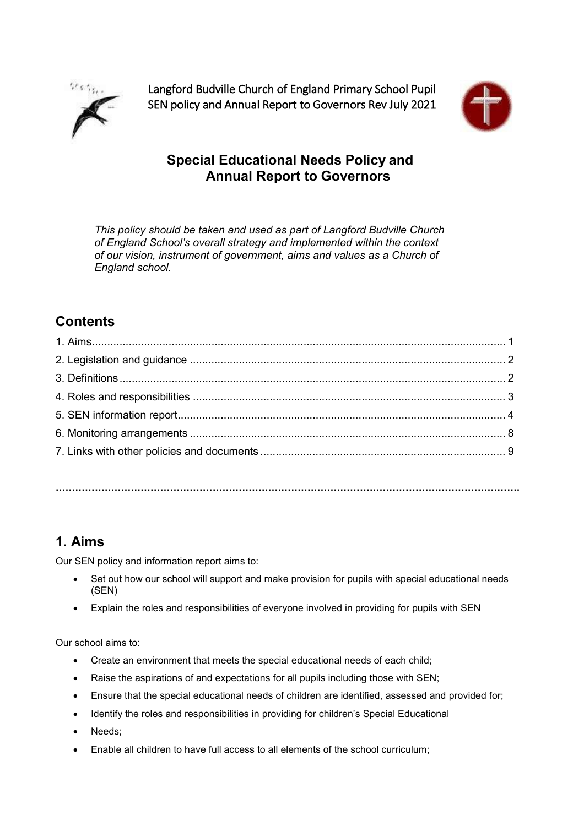

Langford Budville Church of England Primary School Pupil SEN policy and Annual Report to Governors Rev July 2021



## **Special Educational Needs Policy and Annual Report to Governors**

*This policy should be taken and used as part of Langford Budville Church of England School's overall strategy and implemented within the context of our vision, instrument of government, aims and values as a Church of England school.*

## **Contents**

**…………………………………………………………………………………………………………………………….**

## **1. Aims**

Our SEN policy and information report aims to:

- Set out how our school will support and make provision for pupils with special educational needs (SEN)
- Explain the roles and responsibilities of everyone involved in providing for pupils with SEN

Our school aims to:

- Create an environment that meets the special educational needs of each child;
- Raise the aspirations of and expectations for all pupils including those with SEN;
- Ensure that the special educational needs of children are identified, assessed and provided for;
- Identify the roles and responsibilities in providing for children's Special Educational
- Needs;
- Enable all children to have full access to all elements of the school curriculum;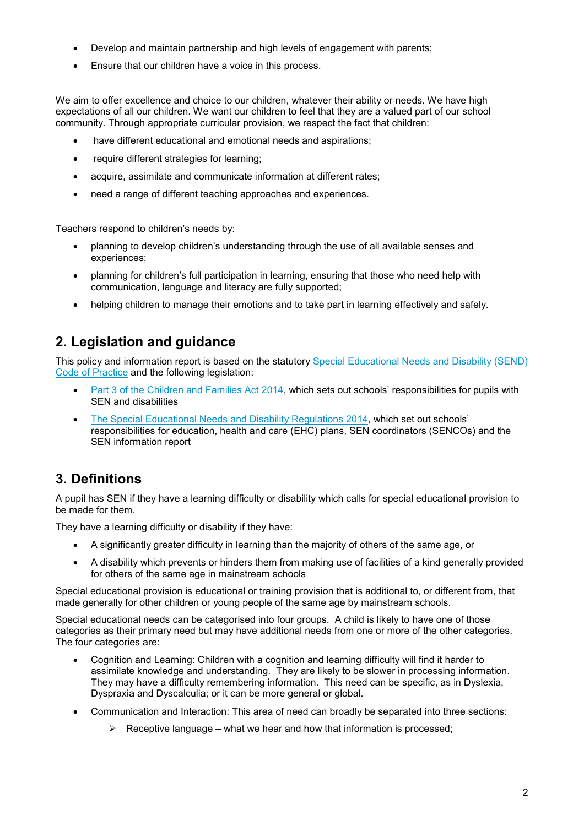- Develop and maintain partnership and high levels of engagement with parents;
- Ensure that our children have a voice in this process.

We aim to offer excellence and choice to our children, whatever their ability or needs. We have high expectations of all our children. We want our children to feel that they are a valued part of our school community. Through appropriate curricular provision, we respect the fact that children:

- have different educational and emotional needs and aspirations;
- require different strategies for learning;
- acquire, assimilate and communicate information at different rates;
- need a range of different teaching approaches and experiences.

Teachers respond to children's needs by:

- planning to develop children's understanding through the use of all available senses and experiences;
- planning for children's full participation in learning, ensuring that those who need help with communication, language and literacy are fully supported;
- helping children to manage their emotions and to take part in learning effectively and safely.

## **2. Legislation and guidance**

This policy and information report is based on the statutory [Special Educational Needs and Disability \(SEND\)](https://www.gov.uk/government/uploads/system/uploads/attachment_data/file/398815/SEND_Code_of_Practice_January_2015.pdf)  [Code of Practice](https://www.gov.uk/government/uploads/system/uploads/attachment_data/file/398815/SEND_Code_of_Practice_January_2015.pdf) and the following legislation:

- [Part 3 of the Children and Families Act 2014,](http://www.legislation.gov.uk/ukpga/2014/6/part/3) which sets out schools' responsibilities for pupils with SEN and disabilities
- [The Special Educational Needs and Disability Regulations 2014,](http://www.legislation.gov.uk/uksi/2014/1530/contents/made) which set out schools' responsibilities for education, health and care (EHC) plans, SEN coordinators (SENCOs) and the SEN information report

## **3. Definitions**

A pupil has SEN if they have a learning difficulty or disability which calls for special educational provision to be made for them.

They have a learning difficulty or disability if they have:

- A significantly greater difficulty in learning than the majority of others of the same age, or
- A disability which prevents or hinders them from making use of facilities of a kind generally provided for others of the same age in mainstream schools

Special educational provision is educational or training provision that is additional to, or different from, that made generally for other children or young people of the same age by mainstream schools.

Special educational needs can be categorised into four groups. A child is likely to have one of those categories as their primary need but may have additional needs from one or more of the other categories. The four categories are:

- Cognition and Learning: Children with a cognition and learning difficulty will find it harder to assimilate knowledge and understanding. They are likely to be slower in processing information. They may have a difficulty remembering information. This need can be specific, as in Dyslexia, Dyspraxia and Dyscalculia; or it can be more general or global.
- Communication and Interaction: This area of need can broadly be separated into three sections:
	- $\triangleright$  Receptive language what we hear and how that information is processed;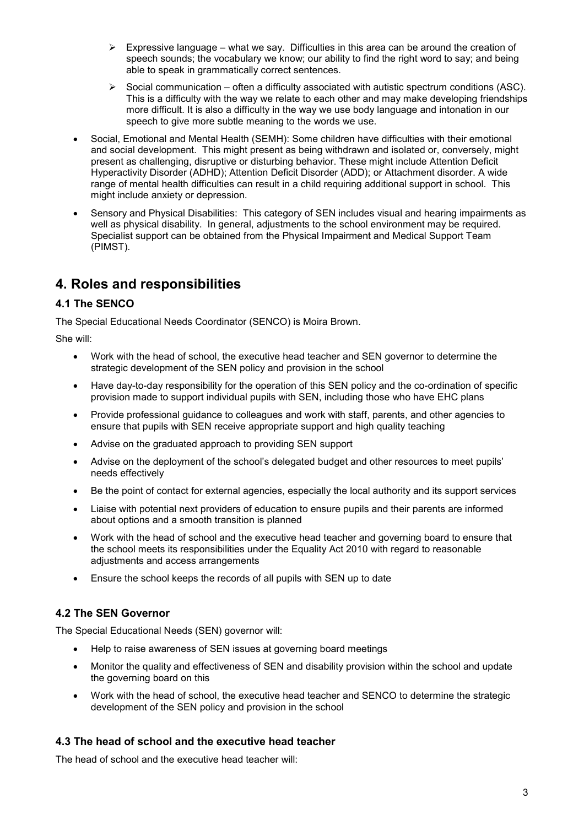- $\triangleright$  Expressive language what we say. Difficulties in this area can be around the creation of speech sounds; the vocabulary we know; our ability to find the right word to say; and being able to speak in grammatically correct sentences.
- $\triangleright$  Social communication often a difficulty associated with autistic spectrum conditions (ASC). This is a difficulty with the way we relate to each other and may make developing friendships more difficult. It is also a difficulty in the way we use body language and intonation in our speech to give more subtle meaning to the words we use.
- Social, Emotional and Mental Health (SEMH): Some children have difficulties with their emotional and social development. This might present as being withdrawn and isolated or, conversely, might present as challenging, disruptive or disturbing behavior. These might include Attention Deficit Hyperactivity Disorder (ADHD); Attention Deficit Disorder (ADD); or Attachment disorder. A wide range of mental health difficulties can result in a child requiring additional support in school. This might include anxiety or depression.
- Sensory and Physical Disabilities: This category of SEN includes visual and hearing impairments as well as physical disability. In general, adjustments to the school environment may be required. Specialist support can be obtained from the Physical Impairment and Medical Support Team (PIMST).

# **4. Roles and responsibilities**

### **4.1 The SENCO**

The Special Educational Needs Coordinator (SENCO) is Moira Brown.

She will:

- Work with the head of school, the executive head teacher and SEN governor to determine the strategic development of the SEN policy and provision in the school
- Have day-to-day responsibility for the operation of this SEN policy and the co-ordination of specific provision made to support individual pupils with SEN, including those who have EHC plans
- Provide professional guidance to colleagues and work with staff, parents, and other agencies to ensure that pupils with SEN receive appropriate support and high quality teaching
- Advise on the graduated approach to providing SEN support
- Advise on the deployment of the school's delegated budget and other resources to meet pupils' needs effectively
- Be the point of contact for external agencies, especially the local authority and its support services
- Liaise with potential next providers of education to ensure pupils and their parents are informed about options and a smooth transition is planned
- Work with the head of school and the executive head teacher and governing board to ensure that the school meets its responsibilities under the Equality Act 2010 with regard to reasonable adjustments and access arrangements
- Ensure the school keeps the records of all pupils with SEN up to date

### **4.2 The SEN Governor**

The Special Educational Needs (SEN) governor will:

- Help to raise awareness of SEN issues at governing board meetings
- Monitor the quality and effectiveness of SEN and disability provision within the school and update the governing board on this
- Work with the head of school, the executive head teacher and SENCO to determine the strategic development of the SEN policy and provision in the school

### **4.3 The head of school and the executive head teacher**

The head of school and the executive head teacher will: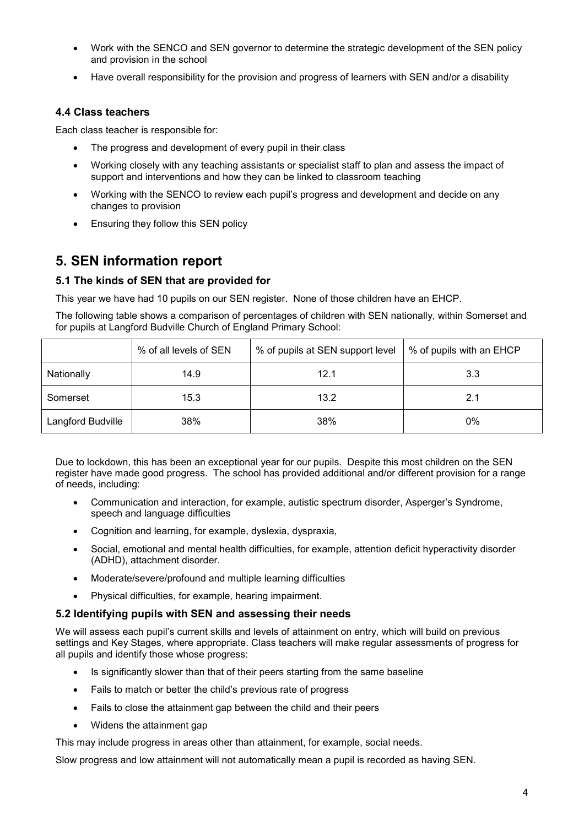- Work with the SENCO and SEN governor to determine the strategic development of the SEN policy and provision in the school
- Have overall responsibility for the provision and progress of learners with SEN and/or a disability

#### **4.4 Class teachers**

Each class teacher is responsible for:

- The progress and development of every pupil in their class
- Working closely with any teaching assistants or specialist staff to plan and assess the impact of support and interventions and how they can be linked to classroom teaching
- Working with the SENCO to review each pupil's progress and development and decide on any changes to provision
- Ensuring they follow this SEN policy

## **5. SEN information report**

#### **5.1 The kinds of SEN that are provided for**

This year we have had 10 pupils on our SEN register. None of those children have an EHCP.

The following table shows a comparison of percentages of children with SEN nationally, within Somerset and for pupils at Langford Budville Church of England Primary School:

|                   | % of all levels of SEN | % of pupils at SEN support level | % of pupils with an EHCP |
|-------------------|------------------------|----------------------------------|--------------------------|
| Nationally        | 14.9                   | 12.1                             | 3.3                      |
| Somerset          | 15.3                   | 13.2                             | 2.1                      |
| Langford Budville | 38%                    | 38%                              | 0%                       |

Due to lockdown, this has been an exceptional year for our pupils. Despite this most children on the SEN register have made good progress. The school has provided additional and/or different provision for a range of needs, including:

- Communication and interaction, for example, autistic spectrum disorder, Asperger's Syndrome, speech and language difficulties
- Cognition and learning, for example, dyslexia, dyspraxia,
- Social, emotional and mental health difficulties, for example, attention deficit hyperactivity disorder (ADHD), attachment disorder.
- Moderate/severe/profound and multiple learning difficulties
- Physical difficulties, for example, hearing impairment.

#### **5.2 Identifying pupils with SEN and assessing their needs**

We will assess each pupil's current skills and levels of attainment on entry, which will build on previous settings and Key Stages, where appropriate. Class teachers will make regular assessments of progress for all pupils and identify those whose progress:

- Is significantly slower than that of their peers starting from the same baseline
- Fails to match or better the child's previous rate of progress
- Fails to close the attainment gap between the child and their peers
- Widens the attainment gap

This may include progress in areas other than attainment, for example, social needs.

Slow progress and low attainment will not automatically mean a pupil is recorded as having SEN.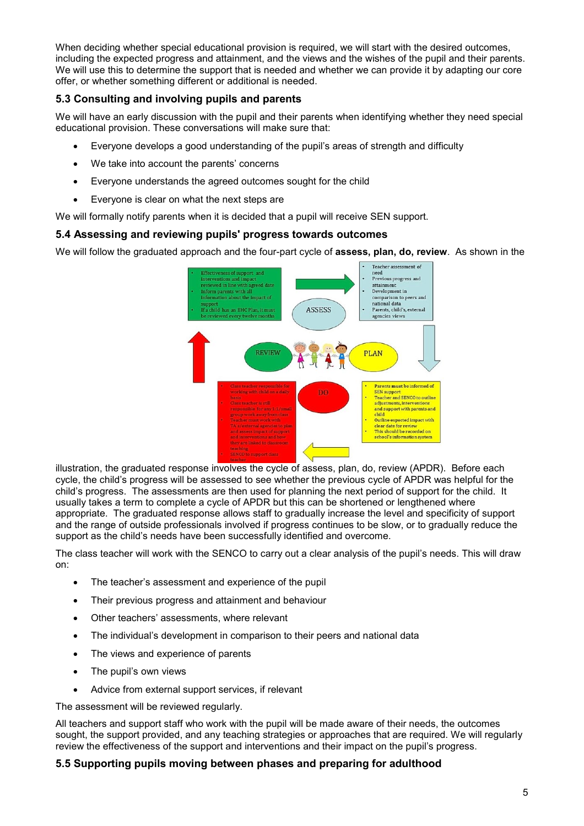When deciding whether special educational provision is required, we will start with the desired outcomes, including the expected progress and attainment, and the views and the wishes of the pupil and their parents. We will use this to determine the support that is needed and whether we can provide it by adapting our core offer, or whether something different or additional is needed.

### **5.3 Consulting and involving pupils and parents**

We will have an early discussion with the pupil and their parents when identifying whether they need special educational provision. These conversations will make sure that:

- Everyone develops a good understanding of the pupil's areas of strength and difficulty
- We take into account the parents' concerns
- Everyone understands the agreed outcomes sought for the child
- Everyone is clear on what the next steps are

We will formally notify parents when it is decided that a pupil will receive SEN support.

### **5.4 Assessing and reviewing pupils' progress towards outcomes**

We will follow the graduated approach and the four-part cycle of **assess, plan, do, review**. As shown in the



illustration, the graduated response involves the cycle of assess, plan, do, review (APDR). Before each cycle, the child's progress will be assessed to see whether the previous cycle of APDR was helpful for the child's progress. The assessments are then used for planning the next period of support for the child. It usually takes a term to complete a cycle of APDR but this can be shortened or lengthened where appropriate. The graduated response allows staff to gradually increase the level and specificity of support and the range of outside professionals involved if progress continues to be slow, or to gradually reduce the support as the child's needs have been successfully identified and overcome.

The class teacher will work with the SENCO to carry out a clear analysis of the pupil's needs. This will draw on:

- The teacher's assessment and experience of the pupil
- Their previous progress and attainment and behaviour
- Other teachers' assessments, where relevant
- The individual's development in comparison to their peers and national data
- The views and experience of parents
- The pupil's own views
- Advice from external support services, if relevant

The assessment will be reviewed regularly.

All teachers and support staff who work with the pupil will be made aware of their needs, the outcomes sought, the support provided, and any teaching strategies or approaches that are required. We will regularly review the effectiveness of the support and interventions and their impact on the pupil's progress.

#### **5.5 Supporting pupils moving between phases and preparing for adulthood**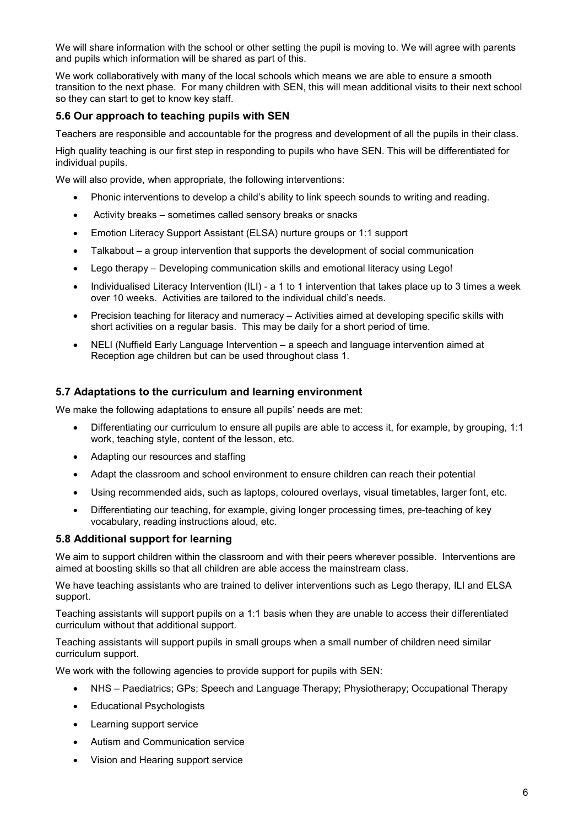We will share information with the school or other setting the pupil is moving to. We will agree with parents and pupils which information will be shared as part of this.

We work collaboratively with many of the local schools which means we are able to ensure a smooth transition to the next phase. For many children with SEN, this will mean additional visits to their next school so they can start to get to know key staff.

#### **5.6 Our approach to teaching pupils with SEN**

Teachers are responsible and accountable for the progress and development of all the pupils in their class.

High quality teaching is our first step in responding to pupils who have SEN. This will be differentiated for individual pupils.

We will also provide, when appropriate, the following interventions:

- Phonic interventions to develop a child's ability to link speech sounds to writing and reading.
- Activity breaks sometimes called sensory breaks or snacks
- Emotion Literacy Support Assistant (ELSA) nurture groups or 1:1 support
- Talkabout a group intervention that supports the development of social communication
- Lego therapy Developing communication skills and emotional literacy using Lego!
- Individualised Literacy Intervention (ILI) a 1 to 1 intervention that takes place up to 3 times a week over 10 weeks. Activities are tailored to the individual child's needs.
- Precision teaching for literacy and numeracy Activities aimed at developing specific skills with short activities on a regular basis. This may be daily for a short period of time.
- NELI (Nuffield Early Language Intervention a speech and language intervention aimed at Reception age children but can be used throughout class 1.

#### **5.7 Adaptations to the curriculum and learning environment**

We make the following adaptations to ensure all pupils' needs are met:

- Differentiating our curriculum to ensure all pupils are able to access it, for example, by grouping, 1:1 work, teaching style, content of the lesson, etc.
- Adapting our resources and staffing
- Adapt the classroom and school environment to ensure children can reach their potential
- Using recommended aids, such as laptops, coloured overlays, visual timetables, larger font, etc.
- Differentiating our teaching, for example, giving longer processing times, pre-teaching of key vocabulary, reading instructions aloud, etc.

#### **5.8 Additional support for learning**

We aim to support children within the classroom and with their peers wherever possible. Interventions are aimed at boosting skills so that all children are able access the mainstream class.

We have teaching assistants who are trained to deliver interventions such as Lego therapy, ILI and ELSA support.

Teaching assistants will support pupils on a 1:1 basis when they are unable to access their differentiated curriculum without that additional support.

Teaching assistants will support pupils in small groups when a small number of children need similar curriculum support.

We work with the following agencies to provide support for pupils with SEN:

- NHS Paediatrics; GPs; Speech and Language Therapy; Physiotherapy; Occupational Therapy
- Educational Psychologists
- Learning support service
- Autism and Communication service
- Vision and Hearing support service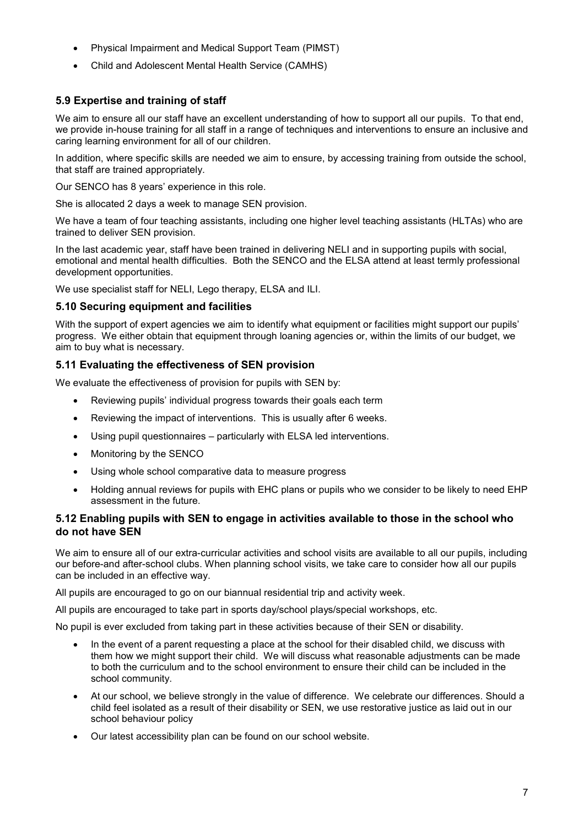- Physical Impairment and Medical Support Team (PIMST)
- Child and Adolescent Mental Health Service (CAMHS)

### **5.9 Expertise and training of staff**

We aim to ensure all our staff have an excellent understanding of how to support all our pupils. To that end, we provide in-house training for all staff in a range of techniques and interventions to ensure an inclusive and caring learning environment for all of our children.

In addition, where specific skills are needed we aim to ensure, by accessing training from outside the school, that staff are trained appropriately.

Our SENCO has 8 years' experience in this role.

She is allocated 2 days a week to manage SEN provision.

We have a team of four teaching assistants, including one higher level teaching assistants (HLTAs) who are trained to deliver SEN provision.

In the last academic year, staff have been trained in delivering NELI and in supporting pupils with social, emotional and mental health difficulties. Both the SENCO and the ELSA attend at least termly professional development opportunities.

We use specialist staff for NELI, Lego therapy, ELSA and ILI.

#### **5.10 Securing equipment and facilities**

With the support of expert agencies we aim to identify what equipment or facilities might support our pupils' progress. We either obtain that equipment through loaning agencies or, within the limits of our budget, we aim to buy what is necessary.

#### **5.11 Evaluating the effectiveness of SEN provision**

We evaluate the effectiveness of provision for pupils with SEN by:

- Reviewing pupils' individual progress towards their goals each term
- Reviewing the impact of interventions. This is usually after 6 weeks.
- Using pupil questionnaires particularly with ELSA led interventions.
- Monitoring by the SENCO
- Using whole school comparative data to measure progress
- Holding annual reviews for pupils with EHC plans or pupils who we consider to be likely to need EHP assessment in the future.

#### **5.12 Enabling pupils with SEN to engage in activities available to those in the school who do not have SEN**

We aim to ensure all of our extra-curricular activities and school visits are available to all our pupils, including our before-and after-school clubs. When planning school visits, we take care to consider how all our pupils can be included in an effective way.

All pupils are encouraged to go on our biannual residential trip and activity week.

All pupils are encouraged to take part in sports day/school plays/special workshops, etc.

No pupil is ever excluded from taking part in these activities because of their SEN or disability.

- In the event of a parent requesting a place at the school for their disabled child, we discuss with them how we might support their child. We will discuss what reasonable adjustments can be made to both the curriculum and to the school environment to ensure their child can be included in the school community.
- At our school, we believe strongly in the value of difference. We celebrate our differences. Should a child feel isolated as a result of their disability or SEN, we use restorative justice as laid out in our school behaviour policy
- Our latest accessibility plan can be found on our school website.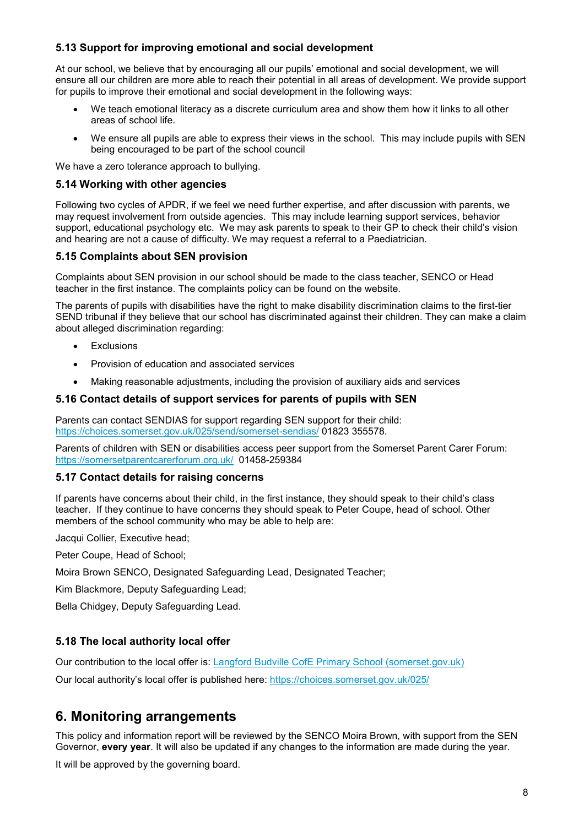### **5.13 Support for improving emotional and social development**

At our school, we believe that by encouraging all our pupils' emotional and social development, we will ensure all our children are more able to reach their potential in all areas of development. We provide support for pupils to improve their emotional and social development in the following ways:

- We teach emotional literacy as a discrete curriculum area and show them how it links to all other areas of school life.
- We ensure all pupils are able to express their views in the school. This may include pupils with SEN being encouraged to be part of the school council

We have a zero tolerance approach to bullying.

#### **5.14 Working with other agencies**

Following two cycles of APDR, if we feel we need further expertise, and after discussion with parents, we may request involvement from outside agencies. This may include learning support services, behavior support, educational psychology etc. We may ask parents to speak to their GP to check their child's vision and hearing are not a cause of difficulty. We may request a referral to a Paediatrician.

#### **5.15 Complaints about SEN provision**

Complaints about SEN provision in our school should be made to the class teacher, SENCO or Head teacher in the first instance. The complaints policy can be found on the website.

The parents of pupils with disabilities have the right to make disability discrimination claims to the first-tier SEND tribunal if they believe that our school has discriminated against their children. They can make a claim about alleged discrimination regarding:

- **Exclusions**
- Provision of education and associated services
- Making reasonable adjustments, including the provision of auxiliary aids and services

#### **5.16 Contact details of support services for parents of pupils with SEN**

Parents can contact SENDIAS for support regarding SEN support for their child: <https://choices.somerset.gov.uk/025/send/somerset-sendias/> 01823 355578.

Parents of children with SEN or disabilities access peer support from the Somerset Parent Carer Forum: <https://somersetparentcarerforum.org.uk/> 01458-259384

#### **5.17 Contact details for raising concerns**

If parents have concerns about their child, in the first instance, they should speak to their child's class teacher. If they continue to have concerns they should speak to Peter Coupe, head of school. Other members of the school community who may be able to help are:

Jacqui Collier, Executive head;

Peter Coupe, Head of School;

Moira Brown SENCO, Designated Safeguarding Lead, Designated Teacher;

Kim Blackmore, Deputy Safeguarding Lead;

Bella Chidgey, Deputy Safeguarding Lead.

#### **5.18 The local authority local offer**

Our contribution to the local offer is: [Langford Budville CofE Primary School \(somerset.gov.uk\)](https://choices.somerset.gov.uk/025/schools/langford-budville-cofe-primary-school/)

Our local authority's local offer is published here:<https://choices.somerset.gov.uk/025/>

### **6. Monitoring arrangements**

This policy and information report will be reviewed by the SENCO Moira Brown, with support from the SEN Governor, **every year**. It will also be updated if any changes to the information are made during the year.

It will be approved by the governing board.